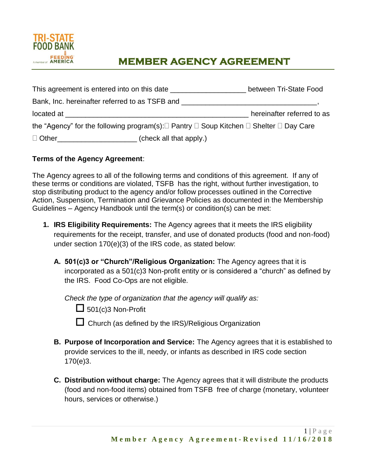

## **MEMBER AGENCY AGREEMENT**

|              | This agreement is entered into on this date                                                                                                                                                                                         | between Tri-State Food     |
|--------------|-------------------------------------------------------------------------------------------------------------------------------------------------------------------------------------------------------------------------------------|----------------------------|
|              | Bank, Inc. hereinafter referred to as TSFB and <b>Exercise 2018</b> and the control of the control of the control of the control of the control of the control of the control of the control of the control of the control of the c |                            |
| located at   |                                                                                                                                                                                                                                     | hereinafter referred to as |
|              | the "Agency" for the following program(s): $\Box$ Pantry $\Box$ Soup Kitchen $\Box$ Shelter $\Box$ Day Care                                                                                                                         |                            |
| $\Box$ Other | (check all that apply.)                                                                                                                                                                                                             |                            |

## **Terms of the Agency Agreement**:

The Agency agrees to all of the following terms and conditions of this agreement. If any of these terms or conditions are violated, TSFB has the right, without further investigation, to stop distributing product to the agency and/or follow processes outlined in the Corrective Action, Suspension, Termination and Grievance Policies as documented in the Membership Guidelines – Agency Handbook until the term(s) or condition(s) can be met:

- **1. IRS Eligibility Requirements:** The Agency agrees that it meets the IRS eligibility requirements for the receipt, transfer, and use of donated products (food and non-food) under section 170(e)(3) of the IRS code, as stated below:
	- **A. 501(c)3 or "Church"/Religious Organization:** The Agency agrees that it is incorporated as a 501(c)3 Non-profit entity or is considered a "church" as defined by the IRS. Food Co-Ops are not eligible.

*Check the type of organization that the agency will qualify as:*

 $\Box$  501(c)3 Non-Profit

Church (as defined by the IRS)/Religious Organization

- **B. Purpose of Incorporation and Service:** The Agency agrees that it is established to provide services to the ill, needy, or infants as described in IRS code section 170(e)3.
- **C. Distribution without charge:** The Agency agrees that it will distribute the products (food and non-food items) obtained from TSFB free of charge (monetary, volunteer hours, services or otherwise.)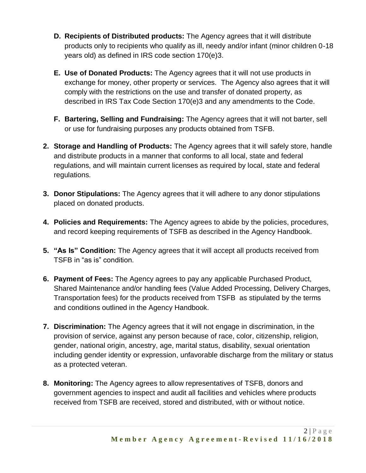- **D. Recipients of Distributed products:** The Agency agrees that it will distribute products only to recipients who qualify as ill, needy and/or infant (minor children 0-18 years old) as defined in IRS code section 170(e)3.
- **E. Use of Donated Products:** The Agency agrees that it will not use products in exchange for money, other property or services. The Agency also agrees that it will comply with the restrictions on the use and transfer of donated property, as described in IRS Tax Code Section 170(e)3 and any amendments to the Code.
- **F. Bartering, Selling and Fundraising:** The Agency agrees that it will not barter, sell or use for fundraising purposes any products obtained from TSFB.
- **2. Storage and Handling of Products:** The Agency agrees that it will safely store, handle and distribute products in a manner that conforms to all local, state and federal regulations, and will maintain current licenses as required by local, state and federal regulations.
- **3. Donor Stipulations:** The Agency agrees that it will adhere to any donor stipulations placed on donated products.
- **4. Policies and Requirements:** The Agency agrees to abide by the policies, procedures, and record keeping requirements of TSFB as described in the Agency Handbook.
- **5. "As Is" Condition:** The Agency agrees that it will accept all products received from TSFB in "as is" condition.
- **6. Payment of Fees:** The Agency agrees to pay any applicable Purchased Product, Shared Maintenance and/or handling fees (Value Added Processing, Delivery Charges, Transportation fees) for the products received from TSFB as stipulated by the terms and conditions outlined in the Agency Handbook.
- **7. Discrimination:** The Agency agrees that it will not engage in discrimination, in the provision of service, against any person because of race, color, citizenship, religion, gender, national origin, ancestry, age, marital status, disability, sexual orientation including gender identity or expression, unfavorable discharge from the military or status as a protected veteran.
- **8. Monitoring:** The Agency agrees to allow representatives of TSFB, donors and government agencies to inspect and audit all facilities and vehicles where products received from TSFB are received, stored and distributed, with or without notice.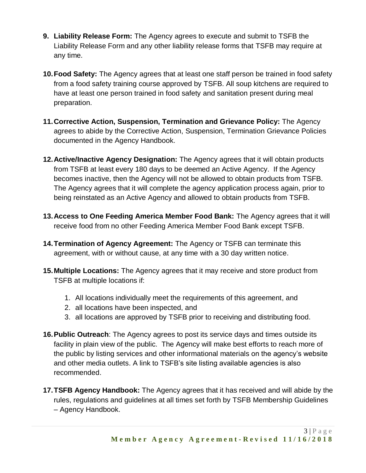- **9. Liability Release Form:** The Agency agrees to execute and submit to TSFB the Liability Release Form and any other liability release forms that TSFB may require at any time.
- **10.Food Safety:** The Agency agrees that at least one staff person be trained in food safety from a food safety training course approved by TSFB. All soup kitchens are required to have at least one person trained in food safety and sanitation present during meal preparation.
- **11.Corrective Action, Suspension, Termination and Grievance Policy:** The Agency agrees to abide by the Corrective Action, Suspension, Termination Grievance Policies documented in the Agency Handbook.
- **12.Active/Inactive Agency Designation:** The Agency agrees that it will obtain products from TSFB at least every 180 days to be deemed an Active Agency. If the Agency becomes inactive, then the Agency will not be allowed to obtain products from TSFB. The Agency agrees that it will complete the agency application process again, prior to being reinstated as an Active Agency and allowed to obtain products from TSFB.
- **13.Access to One Feeding America Member Food Bank:** The Agency agrees that it will receive food from no other Feeding America Member Food Bank except TSFB.
- **14.Termination of Agency Agreement:** The Agency or TSFB can terminate this agreement, with or without cause, at any time with a 30 day written notice.
- **15.Multiple Locations:** The Agency agrees that it may receive and store product from TSFB at multiple locations if:
	- 1. All locations individually meet the requirements of this agreement, and
	- 2. all locations have been inspected, and
	- 3. all locations are approved by TSFB prior to receiving and distributing food.
- **16.Public Outreach**: The Agency agrees to post its service days and times outside its facility in plain view of the public. The Agency will make best efforts to reach more of the public by listing services and other informational materials on the agency's website and other media outlets. A link to TSFB's site listing available agencies is also recommended.
- **17.TSFB Agency Handbook:** The Agency agrees that it has received and will abide by the rules, regulations and guidelines at all times set forth by TSFB Membership Guidelines – Agency Handbook.